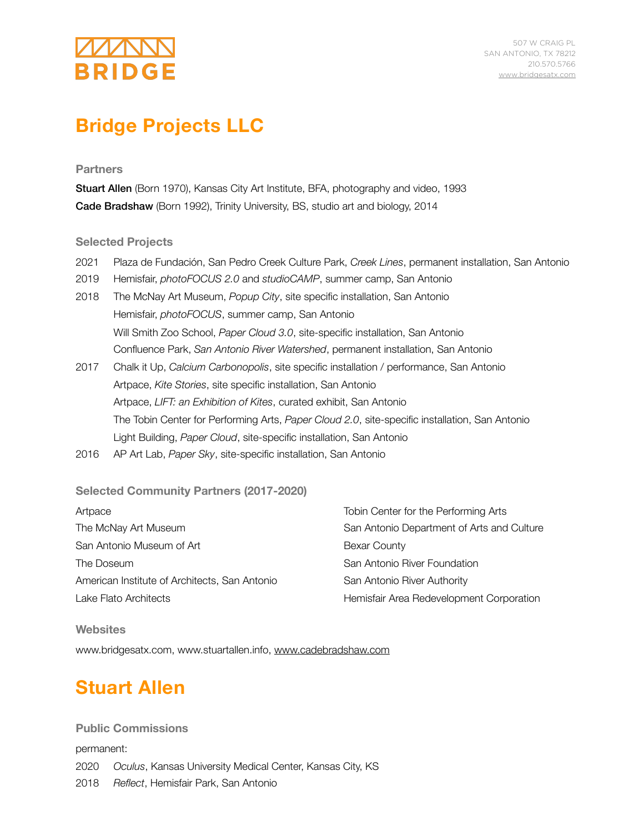# **BRIDGE**

507 W CRAIG PL SAN ANTONIO, TX 78212 210.570.5766 [www.bridgesatx.com](http://www.bridgesatx.com)

# **Bridge Projects LLC**

## **Partners**

Stuart Allen (Born 1970), Kansas City Art Institute, BFA, photography and video, 1993 Cade Bradshaw (Born 1992), Trinity University, BS, studio art and biology, 2014

### **Selected Projects**

- 2021 Plaza de Fundación, San Pedro Creek Culture Park, *Creek Lines*, permanent installation, San Antonio
- 2019 Hemisfair, *photoFOCUS 2.0* and *studioCAMP*, summer camp, San Antonio
- 2018 The McNay Art Museum, *Popup City*, site specific installation, San Antonio Hemisfair, *photoFOCUS*, summer camp, San Antonio Will Smith Zoo School, *Paper Cloud 3.0*, site-specific installation, San Antonio Confluence Park, *San Antonio River Watershed*, permanent installation, San Antonio
- 2017 Chalk it Up, *Calcium Carbonopolis*, site specific installation / performance, San Antonio Artpace, *Kite Stories*, site specific installation, San Antonio Artpace, *LIFT: an Exhibition of Kites*, curated exhibit, San Antonio The Tobin Center for Performing Arts, *Paper Cloud 2.0*, site-specific installation, San Antonio Light Building, *Paper Cloud*, site-specific installation, San Antonio
- 2016 AP Art Lab, *Paper Sky*, site-specific installation, San Antonio

# **Selected Community Partners (2017-2020)**

| Artpace                                       | Tobin Center for the Performing Arts       |
|-----------------------------------------------|--------------------------------------------|
| The McNay Art Museum                          | San Antonio Department of Arts and Culture |
| San Antonio Museum of Art                     | Bexar County                               |
| The Doseum                                    | San Antonio River Foundation               |
| American Institute of Architects, San Antonio | San Antonio River Authority                |
| Lake Flato Architects                         | Hemisfair Area Redevelopment Corporation   |

**Websites**  www.bridgesatx.com, www.stuartallen.info, [www.cadebradshaw.com](http://www.cadebradshaw.com)

# **Stuart Allen**

**Public Commissions**  permanent: 2020 *Oculus*, Kansas University Medical Center, Kansas City, KS 2018 *Reflect*, Hemisfair Park, San Antonio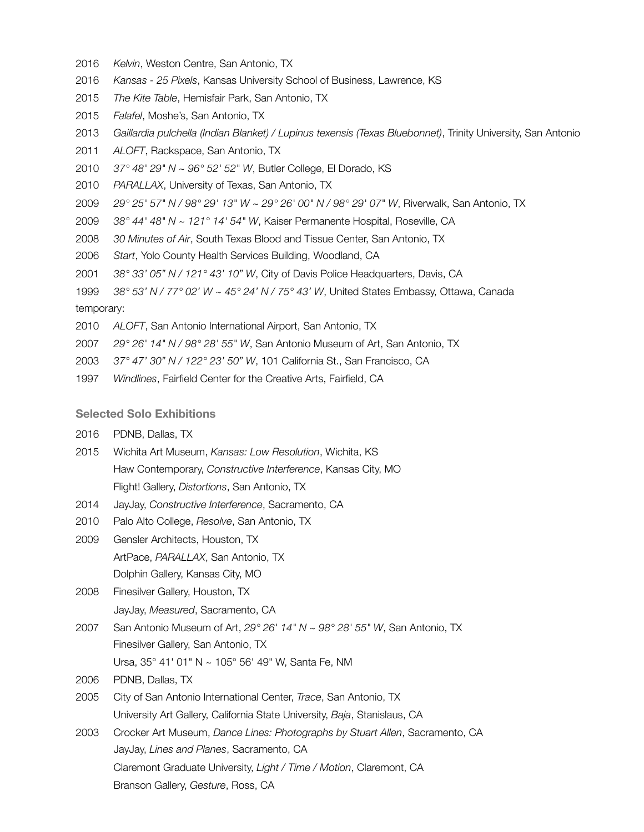- *Kelvin*, Weston Centre, San Antonio, TX
- *Kansas 25 Pixels*, Kansas University School of Business, Lawrence, KS
- *The Kite Table*, Hemisfair Park, San Antonio, TX
- *Falafel*, Moshe's, San Antonio, TX
- *Gaillardia pulchella (Indian Blanket) / Lupinus texensis (Texas Bluebonnet)*, Trinity University, San Antonio
- *ALOFT*, Rackspace, San Antonio, TX
- *37° 48' 29" N ~ 96° 52' 52" W*, Butler College, El Dorado, KS
- *PARALLAX*, University of Texas, San Antonio, TX
- *29° 25' 57" N / 98° 29' 13" W ~ 29° 26' 00" N / 98° 29' 07" W*, Riverwalk, San Antonio, TX
- *38° 44' 48" N ~ 121° 14' 54" W*, Kaiser Permanente Hospital, Roseville, CA
- *30 Minutes of Air*, South Texas Blood and Tissue Center, San Antonio, TX
- *Start*, Yolo County Health Services Building, Woodland, CA
- *38° 33' 05" N / 121° 43' 10" W*, City of Davis Police Headquarters, Davis, CA
- *38° 53' N / 77° 02' W ~ 45° 24' N / 75° 43' W*, United States Embassy, Ottawa, Canada temporary:
- *ALOFT*, San Antonio International Airport, San Antonio, TX
- *29° 26' 14" N / 98° 28' 55" W*, San Antonio Museum of Art, San Antonio, TX
- *37° 47' 30" N / 122° 23' 50" W*, 101 California St., San Francisco, CA
- *Windlines*, Fairfield Center for the Creative Arts, Fairfield, CA

#### **Selected Solo Exhibitions**

- PDNB, Dallas, TX
- Wichita Art Museum, *Kansas: Low Resolution*, Wichita, KS Haw Contemporary, *Constructive Interference*, Kansas City, MO Flight! Gallery, *Distortions*, San Antonio, TX
- JayJay, *Constructive Interference*, Sacramento, CA
- Palo Alto College, *Resolve*, San Antonio, TX
- Gensler Architects, Houston, TX ArtPace, *PARALLAX*, San Antonio, TX Dolphin Gallery, Kansas City, MO
- Finesilver Gallery, Houston, TX JayJay, *Measured*, Sacramento, CA
- San Antonio Museum of Art, *29° 26' 14" N ~ 98° 28' 55" W*, San Antonio, TX Finesilver Gallery, San Antonio, TX Ursa, 35° 41' 01" N ~ 105° 56' 49" W, Santa Fe, NM
- PDNB, Dallas, TX
- City of San Antonio International Center, *Trace*, San Antonio, TX University Art Gallery, California State University, *Baja*, Stanislaus, CA
- Crocker Art Museum, *Dance Lines: Photographs by Stuart Allen*, Sacramento, CA JayJay, *Lines and Planes*, Sacramento, CA Claremont Graduate University, *Light / Time / Motion*, Claremont, CA Branson Gallery, *Gesture*, Ross, CA